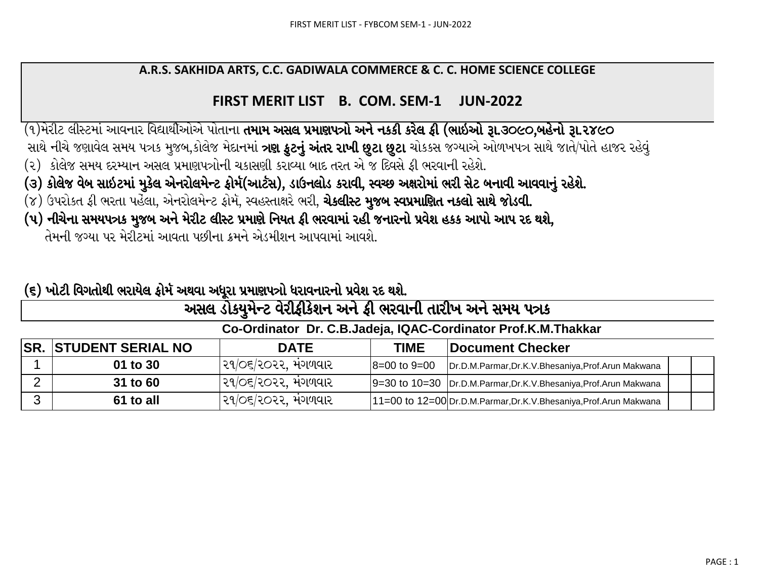## A.R.S. SAKHIDA ARTS, C.C. GADIWALA COMMERCE & C. C. HOME SCIENCE COLLEGE

## FIRST MERIT LIST B. COM. SEM-1 **JUN-2022**

(૧)મેરીટ લીસ્ટમાં આવનાર વિદ્યાર્થીઓએ પોતાના **તમામ અસલ પ્રમાણપત્રો અને નકકી કરેલ ફી (ભાઇઓ રૂા.૩૦૯૦,બહેનો રૂા.૨૪૯૦** 

સાથે નીચે જણાવેલ સમય પત્રક મુજબ,કોલેજ મેદાનમાં **ત્રણ કુટનું અંતર રાખી છુટા છુટા** ચોકકસ જગ્યાએ ઓળખપત્ર સાથે જાતે/પોતે હાજર રહેવું

- (૨) કોલેજ સમય દરમ્યાન અસલ પ્રમાણપત્રોની ચકાસણી કરાવ્યા બાદ તરત એ જ દિવસે ફી ભરવાની રહેશે.
- (૩) કોલેજ વેબ સાઇટમાં મુકેલ એનરોલમેન્ટ ફોર્મ(આર્ટસ), ડાઉનલોડ કરાવી, સ્વચ્છ અક્ષરોમાં ભરી સેટ બનાવી આવવાનું રહેશે.
- (૪) ઉપરોકત ફી ભરતા પહેલા, એનરોલમેન્ટ ફોર્મ, સ્વહસ્તાક્ષરે ભરી, **ચેકલીસ્ટ મુજબ સ્વપ્રમાણિત નકલો સાથે જોડવી.**
- (૫) નીચેના સમયપત્રક મુજબ અને મેરીટ લીસ્ટ પ્રમાણે નિયત ફી ભરવામાં રહી જનારનો પ્રવેશ હકક આપો આપ રદ થશે,

તેમની જગ્યા પર મેરીટમાં આવતા પછીના ક્રમને એડમીશન આપવામાં આવશે

## (૬) ખોટી વિગતોથી ભરાયેલ ફોર્મ અથવા અધૂરા પ્રમાણપત્રો ધરાવનારનો પ્રવેશ રદ થશે.

|                                                               | અસલ ડોક્યુમેન્ટ વરીફીકેશન અને ફી ભરવાની તારીખ અને સમય પત્રક |                     |                      |                                                                    |  |  |  |  |  |  |  |
|---------------------------------------------------------------|-------------------------------------------------------------|---------------------|----------------------|--------------------------------------------------------------------|--|--|--|--|--|--|--|
| Co-Ordinator Dr. C.B.Jadeja, IQAC-Cordinator Prof.K.M.Thakkar |                                                             |                     |                      |                                                                    |  |  |  |  |  |  |  |
|                                                               | <b>SR. STUDENT SERIAL NO</b>                                | <b>DATE</b>         | TIME                 | Document Checker                                                   |  |  |  |  |  |  |  |
|                                                               | 01 to 30                                                    | ૨૧/૦૬/૨૦૨૨, મંગળવાર | $8 = 00$ to $9 = 00$ | Dr.D.M.Parmar, Dr.K.V.Bhesaniya, Prof.Arun Makwana                 |  |  |  |  |  |  |  |
| ⌒                                                             | 31 to 60                                                    | ર૧/૦૬/૨૦૨૨. મંગળવાર |                      | 9=30 to 10=30   Dr.D.M.Parmar, Dr.K.V.Bhesaniya, Prof.Arun Makwana |  |  |  |  |  |  |  |
| ີ                                                             | 61 to all                                                   | ૨૧/૦૬/૨૦૨૨, મંગળવાર |                      | 11=00 to 12=00 Dr.D.M.Parmar, Dr.K.V.Bhesaniya, Prof.Arun Makwana  |  |  |  |  |  |  |  |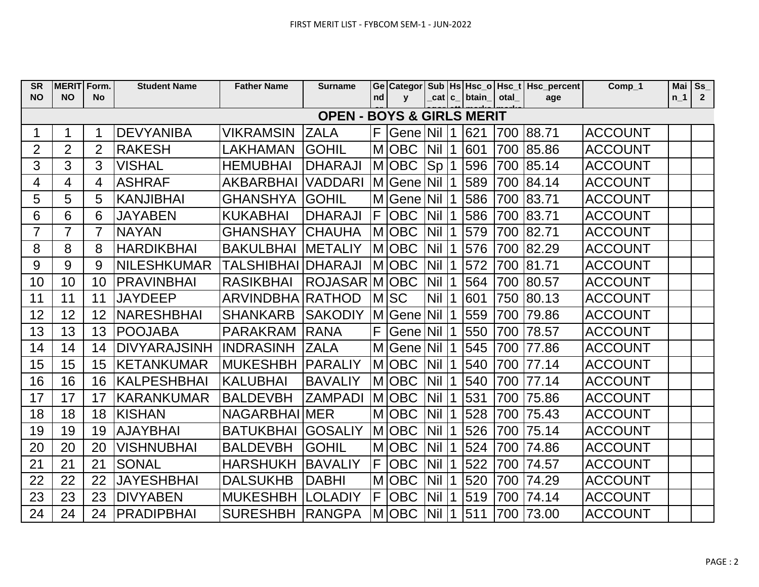| <b>SR</b>                            | <b>MERIT</b>   | Form.          | <b>Student Name</b> | <b>Father Name</b>       | <b>Surname</b> |                |              |            |           |                   |      | Ge Categor Sub   Hs   Hsc_o   Hsc_t   Hsc_percent | Comp_1         | Mai   | Ss             |
|--------------------------------------|----------------|----------------|---------------------|--------------------------|----------------|----------------|--------------|------------|-----------|-------------------|------|---------------------------------------------------|----------------|-------|----------------|
| <b>NO</b>                            | <b>NO</b>      | <b>No</b>      |                     |                          |                | nd             | $\mathbf{V}$ |            |           | cat   c_   btain_ | otal | age                                               |                | $n_1$ | $\overline{2}$ |
| <b>OPEN - BOYS &amp; GIRLS MERIT</b> |                |                |                     |                          |                |                |              |            |           |                   |      |                                                   |                |       |                |
| 1                                    |                | 1              | <b>DEVYANIBA</b>    | <b>VIKRAMSIN</b>         | <b>ZALA</b>    | F <sub>1</sub> | Gene Nil     |            | $\vert$ 1 | 621               | 700  | 88.71                                             | <b>ACCOUNT</b> |       |                |
| $\overline{2}$                       | $\overline{2}$ | $\overline{2}$ | <b>RAKESH</b>       | <b>LAKHAMAN</b>          | <b>GOHIL</b>   |                | M OBC        | <b>Nil</b> | $\vert$ 1 | 601               | 700  | 85.86                                             | <b>ACCOUNT</b> |       |                |
| 3                                    | 3              | 3              | <b>VISHAL</b>       | <b>HEMUBHAI</b>          | <b>DHARAJI</b> |                | MOBC         | Sp 1       |           | 596               | 700  | 85.14                                             | <b>ACCOUNT</b> |       |                |
| 4                                    | 4              | $\overline{4}$ | <b>ASHRAF</b>       | <b>AKBARBHAI</b>         | <b>VADDARI</b> |                | M Gene Nil 1 |            |           | 589               | 700  | 84.14                                             | <b>ACCOUNT</b> |       |                |
| 5                                    | 5              | 5              | <b>KANJIBHAI</b>    | <b>GHANSHYA</b>          | <b>GOHIL</b>   | M l            | Gene Nil     |            | $\vert$ 1 | 586               | 700  | 83.71                                             | <b>ACCOUNT</b> |       |                |
| 6                                    | 6              | 6              | <b>JAYABEN</b>      | <b>KUKABHAI</b>          | <b>DHARAJI</b> |                | $F$ OBC      | <b>Nil</b> | $\vert$ 1 | 586               | 700  | 83.71                                             | <b>ACCOUNT</b> |       |                |
| $\overline{7}$                       | $\overline{7}$ | $\overline{7}$ | <b>NAYAN</b>        | <b>GHANSHAY</b>          | <b>CHAUHA</b>  | <b>M</b>       | <b>OBC</b>   | <b>Nil</b> | $\vert$ 1 | 579               | 700  | 82.71                                             | <b>ACCOUNT</b> |       |                |
| 8                                    | 8              | 8              | <b>HARDIKBHAI</b>   | <b>BAKULBHAI</b>         | <b>METALIY</b> |                | MOBC         | <b>Nil</b> | $\vert$ 1 | 576               | 700  | 82.29                                             | <b>ACCOUNT</b> |       |                |
| 9                                    | 9              | 9              | <b>NILESHKUMAR</b>  | <b>TALSHIBHAI</b>        | <b>DHARAJI</b> |                | M OBC        | <b>Nil</b> | $\vert$ 1 | 572               | 700  | 81.71                                             | <b>ACCOUNT</b> |       |                |
| 10                                   | 10             | 10             | <b>PRAVINBHAI</b>   | <b>RASIKBHAI</b>         | ROJASAR MI     |                | <b>OBC</b>   | <b>Nil</b> | $\vert$ 1 | 564               | 700  | 80.57                                             | <b>ACCOUNT</b> |       |                |
| 11                                   | 11             | 11             | <b>JAYDEEP</b>      | ARVINDBHA RATHOD         |                |                | MSC          | <b>Nil</b> | $\vert$ 1 | 601               | 750  | 80.13                                             | <b>ACCOUNT</b> |       |                |
| 12                                   | 12             | 12             | <b>NARESHBHAI</b>   | <b>SHANKARB</b>          | <b>SAKODIY</b> |                | M Gene Nil   |            | $\vert$ 1 | 559               | 700  | 79.86                                             | <b>ACCOUNT</b> |       |                |
| 13                                   | 13             | 13             | <b>POOJABA</b>      | <b>PARAKRAM</b>          | <b>RANA</b>    | F <sub>1</sub> | Gene Nil     |            | 1         | 550               | 700  | 78.57                                             | <b>ACCOUNT</b> |       |                |
| 14                                   | 14             | 14             | <b>DIVYARAJSINH</b> | <b>INDRASINH</b>         | <b>ZALA</b>    |                | M Gene Nil   |            | $\vert$ 1 | 545               | 700  | 77.86                                             | <b>ACCOUNT</b> |       |                |
| 15                                   | 15             | 15             | <b>KETANKUMAR</b>   | <b>MUKESHBH</b>          | <b>PARALIY</b> |                | <b>MOBC</b>  | <b>Nil</b> | 1         | 540               | 700  | 77.14                                             | <b>ACCOUNT</b> |       |                |
| 16                                   | 16             | 16             | KALPESHBHAI         | <b>KALUBHAI</b>          | <b>BAVALIY</b> |                | <b>MOBC</b>  | <b>Nil</b> | $\vert$ 1 | 540               | 700  | 77.14                                             | <b>ACCOUNT</b> |       |                |
| 17                                   | 17             | 17             | <b>KARANKUMAR</b>   | <b>BALDEVBH</b>          | <b>ZAMPADI</b> | M              | <b>OBC</b>   | <b>Nil</b> | $\vert$ 1 | 531               | 700  | 75.86                                             | <b>ACCOUNT</b> |       |                |
| 18                                   | 18             | 18             | <b>KISHAN</b>       | <b>NAGARBHAI</b>         | <b>MER</b>     |                | MOBC         | <b>Nil</b> | 1         | 528               | 700  | 75.43                                             | <b>ACCOUNT</b> |       |                |
| 19                                   | 19             | 19             | <b>AJAYBHAI</b>     | <b>BATUKBHAI</b>         | <b>GOSALIY</b> |                | M OBC        | <b>Nil</b> | 1         | 526               | 700  | 75.14                                             | <b>ACCOUNT</b> |       |                |
| 20                                   | 20             | 20             | <b>VISHNUBHAI</b>   | <b>BALDEVBH</b>          | <b>GOHIL</b>   | M              | <b>OBC</b>   | <b>Nil</b> | l 1       | 524               | 700  | 74.86                                             | <b>ACCOUNT</b> |       |                |
| 21                                   | 21             | 21             | <b>SONAL</b>        | <b>HARSHUKH</b>          | <b>BAVALIY</b> | F              | <b>OBC</b>   | <b>Nil</b> | $\vert$ 1 | 522               | 700  | 74.57                                             | <b>ACCOUNT</b> |       |                |
| 22                                   | 22             | 22             | <b>JAYESHBHAI</b>   | <b>DALSUKHB</b>          | <b>DABHI</b>   | M              | <b>OBC</b>   | <b>Nil</b> | $\vert$ 1 | 520               | 700  | 74.29                                             | <b>ACCOUNT</b> |       |                |
| 23                                   | 23             | 23             | <b>DIVYABEN</b>     | <b>MUKESHBH</b>          | <b>LOLADIY</b> | F              | <b>OBC</b>   | <b>Nil</b> | $\vert$ 1 | 519               | 700  | 74.14                                             | <b>ACCOUNT</b> |       |                |
| 24                                   | 24             | 24             | <b>PRADIPBHAI</b>   | <b>SURESHBH   RANGPA</b> |                |                | MOBC         | <b>Nil</b> | $\vert$ 1 | 511               | 700  | 73.00                                             | <b>ACCOUNT</b> |       |                |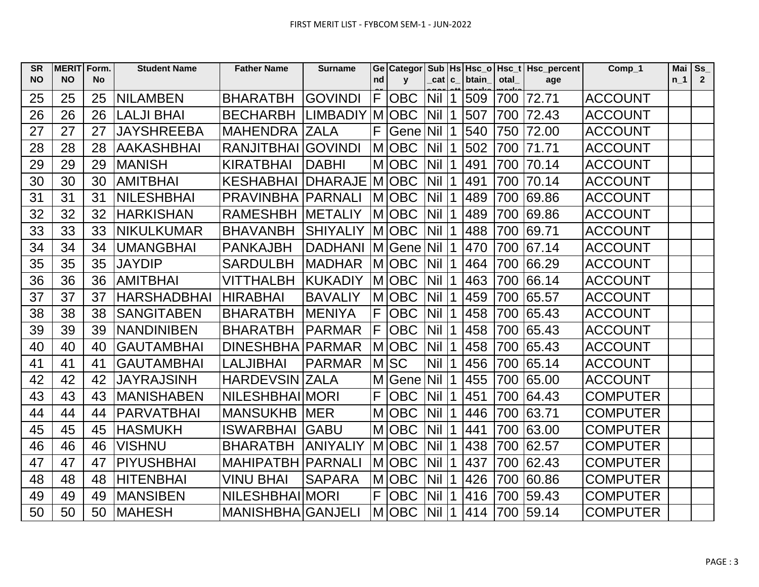| <b>SR</b> | <b>MERIT</b> | Form.     | <b>Student Name</b> | <b>Father Name</b>         | <b>Surname</b>  |                |            |               |             |       |      | Ge Categor Sub   Hs   Hsc_o   Hsc_t   Hsc_percent | $Comp_1$        | Mai   | Ss             |
|-----------|--------------|-----------|---------------------|----------------------------|-----------------|----------------|------------|---------------|-------------|-------|------|---------------------------------------------------|-----------------|-------|----------------|
| <b>NO</b> | <b>NO</b>    | <b>No</b> |                     |                            |                 | nd             | y          | _cat c_       |             | btain | otal | age                                               |                 | $n_1$ | $\overline{2}$ |
| 25        | 25           | 25        | <b>NILAMBEN</b>     | <b>BHARATBH</b>            | <b>GOVINDI</b>  | F              | <b>OBC</b> | $Nil$ 1       |             | 509   | 700  | 72.71                                             | <b>ACCOUNT</b>  |       |                |
| 26        | 26           | 26        | <b>LALJI BHAI</b>   | <b>BECHARBH</b>            | <b>LIMBADIY</b> | IM.            | <b>OBC</b> | Nil 1         |             | 507   | 700  | 72.43                                             | <b>ACCOUNT</b>  |       |                |
| 27        | 27           | 27        | <b>JAYSHREEBA</b>   | <b>MAHENDRA ZALA</b>       |                 | F              | Gene Nil 1 |               |             | 540   | 750  | 72.00                                             | <b>ACCOUNT</b>  |       |                |
| 28        | 28           | 28        | <b>AAKASHBHAI</b>   | <b>RANJITBHAI GOVINDI</b>  |                 | M              | <b>OBC</b> | Nil I         | $\mathbf 1$ | 502   | 700  | 71.71                                             | <b>ACCOUNT</b>  |       |                |
| 29        | 29           | 29        | <b>MANISH</b>       | <b>KIRATBHAI</b>           | <b>DABHI</b>    |                | M OBC      | Nil 1         |             | 491   | 700  | 70.14                                             | <b>ACCOUNT</b>  |       |                |
| 30        | 30           | 30        | <b>AMITBHAI</b>     | <b>KESHABHAI</b>           | <b>DHARAJE</b>  |                | MOBC       | <b>Nil 11</b> |             | 491   | 700  | 70.14                                             | <b>ACCOUNT</b>  |       |                |
| 31        | 31           | 31        | <b>NILESHBHAI</b>   | <b>PRAVINBHA   PARNALI</b> |                 | M              | <b>OBC</b> | $Nil$  1      |             | 489   | 700  | 69.86                                             | <b>ACCOUNT</b>  |       |                |
| 32        | 32           | 32        | <b>HARKISHAN</b>    | <b>RAMESHBH</b>            | <b>METALIY</b>  |                | M OBC      | Nil 1         |             | 489   | 700  | 69.86                                             | <b>ACCOUNT</b>  |       |                |
| 33        | 33           | 33        | <b>NIKULKUMAR</b>   | <b>BHAVANBH</b>            | <b>SHIYALIY</b> |                | MOBC       | Nil 1         |             | 488   | 700  | 69.71                                             | <b>ACCOUNT</b>  |       |                |
| 34        | 34           | 34        | <b>UMANGBHAI</b>    | <b>PANKAJBH</b>            | <b>DADHANI</b>  | M              | Gene Nil 1 |               |             | 470   | 700  | 67.14                                             | <b>ACCOUNT</b>  |       |                |
| 35        | 35           | 35        | <b>JAYDIP</b>       | <b>SARDULBH</b>            | <b>MADHAR</b>   |                | MOBC       | <b>Nil 11</b> |             | 464   | 700  | 66.29                                             | <b>ACCOUNT</b>  |       |                |
| 36        | 36           | 36        | <b>AMITBHAI</b>     | <b>VITTHALBH</b>           | <b>KUKADIY</b>  |                | MOBC       | <b>Nil 11</b> |             | 463   | 700  | 66.14                                             | <b>ACCOUNT</b>  |       |                |
| 37        | 37           | 37        | <b>HARSHADBHAI</b>  | <b>HIRABHAI</b>            | <b>BAVALIY</b>  | M              | <b>OBC</b> | Nil           | 1           | 459   | 700  | 65.57                                             | <b>ACCOUNT</b>  |       |                |
| 38        | 38           | 38        | <b>SANGITABEN</b>   | <b>BHARATBH</b>            | <b>MENIYA</b>   | F              | <b>OBC</b> | Nil 1         |             | 458   | 700  | 65.43                                             | <b>ACCOUNT</b>  |       |                |
| 39        | 39           | 39        | <b>NANDINIBEN</b>   | <b>BHARATBH</b>            | <b>PARMAR</b>   | F              | <b>OBC</b> | $Nil$  1      |             | 458   | 700  | 65.43                                             | <b>ACCOUNT</b>  |       |                |
| 40        | 40           | 40        | <b>GAUTAMBHAI</b>   | <b>DINESHBHA</b>           | <b>PARMAR</b>   | M              | <b>OBC</b> | Nil I         | 1           | 458   | 700  | 65.43                                             | <b>ACCOUNT</b>  |       |                |
| 41        | 41           | 41        | <b>GAUTAMBHAI</b>   | <b>LALJIBHAI</b>           | <b>PARMAR</b>   |                | <b>MSC</b> | Nil 1         |             | 456   | 700  | 65.14                                             | <b>ACCOUNT</b>  |       |                |
| 42        | 42           | 42        | <b>JAYRAJSINH</b>   | <b>HARDEVSIN ZALA</b>      |                 | M              | Gene Nil 1 |               |             | 455   | 700  | 65.00                                             | <b>ACCOUNT</b>  |       |                |
| 43        | 43           | 43        | <b>MANISHABEN</b>   | <b>NILESHBHAI MORI</b>     |                 | F              | <b>OBC</b> | Nil 1         |             | 451   | 700  | 64.43                                             | <b>COMPUTER</b> |       |                |
| 44        | 44           | 44        | <b>PARVATBHAI</b>   | <b>MANSUKHB MER</b>        |                 | M              | <b>OBC</b> | $Nil$ 1       |             | 446   | 700  | 63.71                                             | <b>COMPUTER</b> |       |                |
| 45        | 45           | 45        | <b>HASMUKH</b>      | <b>ISWARBHAI</b>           | <b>IGABU</b>    | M              | <b>OBC</b> | $Nil$ 1       |             | 441   | 700  | 63.00                                             | <b>COMPUTER</b> |       |                |
| 46        | 46           | 46        | <b>VISHNU</b>       | <b>BHARATBH</b>            | <b>ANIYALIY</b> |                | MOBC       | Nil 1         |             | 438   | 700  | 62.57                                             | <b>COMPUTER</b> |       |                |
| 47        | 47           | 47        | <b>PIYUSHBHAI</b>   | <b>MAHIPATBH   PARNALI</b> |                 |                | M OBC      | $Nil$ 1       |             | 437   | 700  | 62.43                                             | <b>COMPUTER</b> |       |                |
| 48        | 48           | 48        | <b>HITENBHAI</b>    | <b>VINU BHAI</b>           | <b>SAPARA</b>   | M              | <b>OBC</b> | Nil           |             | 426   | 700  | 60.86                                             | <b>COMPUTER</b> |       |                |
| 49        | 49           | 49        | <b>MANSIBEN</b>     | <b>NILESHBHAIIMORI</b>     |                 | F              | <b>OBC</b> | <b>Nil 1</b>  |             | 416   | 700  | 59.43                                             | <b>COMPUTER</b> |       |                |
| 50        | 50           | 50        | IMAHESH             | <b>MANISHBHA GANJELI</b>   |                 | M <sup>1</sup> | <b>OBC</b> | $Nil$ 1       |             | 414   | 700  | 59.14                                             | <b>COMPUTER</b> |       |                |